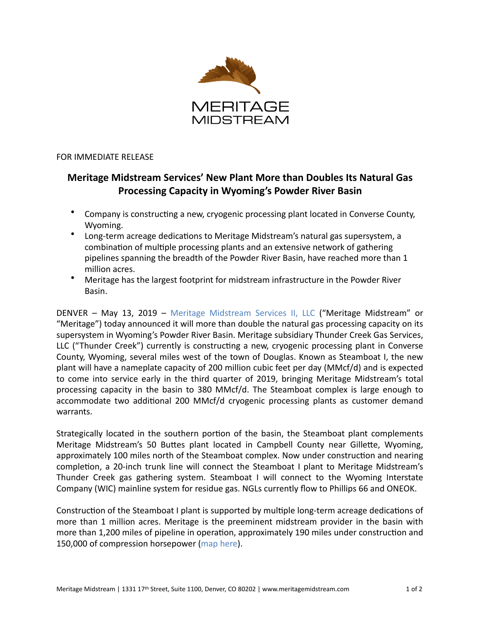

## FOR IMMEDIATE RELEASE

# **Meritage Midstream Services' New Plant More than Doubles Its Natural Gas Processing Capacity in Wyoming's Powder River Basin**

- Company is constructing a new, cryogenic processing plant located in Converse County, Wyoming.
- Long-term acreage dedications to Meritage Midstream's natural gas supersystem, a combination of multiple processing plants and an extensive network of gathering pipelines spanning the breadth of the Powder River Basin, have reached more than 1 million acres.
- Meritage has the largest footprint for midstream infrastructure in the Powder River Basin.

DENVER - May 13, 2019 - Meritage Midstream Services II, LLC ("Meritage Midstream" or "Meritage") today announced it will more than double the natural gas processing capacity on its supersystem in Wyoming's Powder River Basin. Meritage subsidiary Thunder Creek Gas Services, LLC ("Thunder Creek") currently is constructing a new, cryogenic processing plant in Converse County, Wyoming, several miles west of the town of Douglas. Known as Steamboat I, the new plant will have a nameplate capacity of 200 million cubic feet per day (MMcf/d) and is expected to come into service early in the third quarter of 2019, bringing Meritage Midstream's total processing capacity in the basin to 380 MMcf/d. The Steamboat complex is large enough to accommodate two additional 200 MMcf/d cryogenic processing plants as customer demand warrants. 

Strategically located in the southern portion of the basin, the Steamboat plant complements Meritage Midstream's 50 Buttes plant located in Campbell County near Gillette, Wyoming, approximately 100 miles north of the Steamboat complex. Now under construction and nearing completion, a 20-inch trunk line will connect the Steamboat I plant to Meritage Midstream's Thunder Creek gas gathering system. Steamboat I will connect to the Wyoming Interstate Company (WIC) mainline system for residue gas. NGLs currently flow to Phillips 66 and ONEOK.

Construction of the Steamboat I plant is supported by multiple long-term acreage dedications of more than 1 million acres. Meritage is the preeminent midstream provider in the basin with more than 1,200 miles of pipeline in operation, approximately 190 miles under construction and 150,000 of compression horsepower (map here).